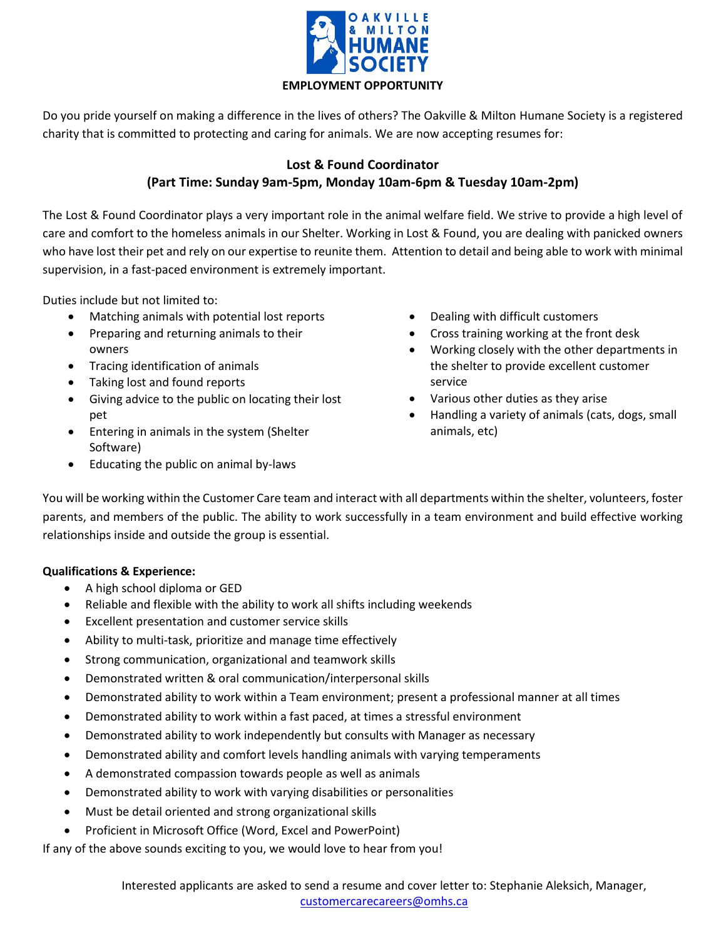

Do you pride yourself on making a difference in the lives of others? The Oakville & Milton Humane Society is a registered charity that is committed to protecting and caring for animals. We are now accepting resumes for:

## **Lost & Found Coordinator (Part Time: Sunday 9am-5pm, Monday 10am-6pm & Tuesday 10am-2pm)**

The Lost & Found Coordinator plays a very important role in the animal welfare field. We strive to provide a high level of care and comfort to the homeless animals in our Shelter. Working in Lost & Found, you are dealing with panicked owners who have lost their pet and rely on our expertise to reunite them. Attention to detail and being able to work with minimal supervision, in a fast-paced environment is extremely important.

Duties include but not limited to:

- Matching animals with potential lost reports
- Preparing and returning animals to their owners
- Tracing identification of animals
- Taking lost and found reports
- Giving advice to the public on locating their lost pet
- Entering in animals in the system (Shelter Software)
- Educating the public on animal by-laws
- Dealing with difficult customers
- Cross training working at the front desk
- Working closely with the other departments in the shelter to provide excellent customer service
- Various other duties as they arise
- Handling a variety of animals (cats, dogs, small animals, etc)

You will be working within the Customer Care team and interact with all departments within the shelter, volunteers, foster parents, and members of the public. The ability to work successfully in a team environment and build effective working relationships inside and outside the group is essential.

## **Qualifications & Experience:**

- A high school diploma or GED
- Reliable and flexible with the ability to work all shifts including weekends
- Excellent presentation and customer service skills
- Ability to multi-task, prioritize and manage time effectively
- Strong communication, organizational and teamwork skills
- Demonstrated written & oral communication/interpersonal skills
- Demonstrated ability to work within a Team environment; present a professional manner at all times
- Demonstrated ability to work within a fast paced, at times a stressful environment
- Demonstrated ability to work independently but consults with Manager as necessary
- Demonstrated ability and comfort levels handling animals with varying temperaments
- A demonstrated compassion towards people as well as animals
- Demonstrated ability to work with varying disabilities or personalities
- Must be detail oriented and strong organizational skills
- Proficient in Microsoft Office (Word, Excel and PowerPoint)

If any of the above sounds exciting to you, we would love to hear from you!